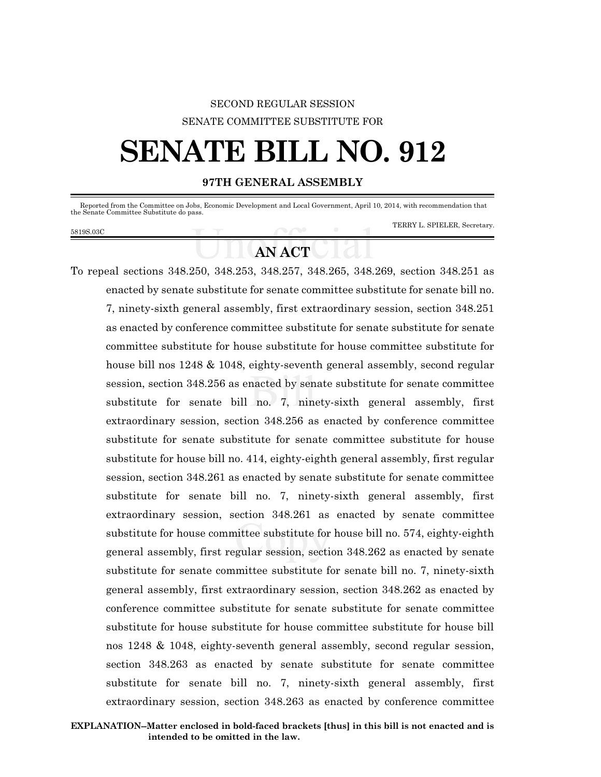### SECOND REGULAR SESSION SENATE COMMITTEE SUBSTITUTE FOR

# **SENATE BILL NO. 912**

#### **97TH GENERAL ASSEMBLY**

 Reported from the Committee on Jobs, Economic Development and Local Government, April 10, 2014, with recommendation that the Senate Committee Substitute do pass.

5819S.03C

TERRY L. SPIELER, Secretary.

## **AN ACT**

To repeal sections 348.250, 348.253, 348.257, 348.265, 348.269, section 348.251 as enacted by senate substitute for senate committee substitute for senate bill no. 7, ninety-sixth general assembly, first extraordinary session, section 348.251 as enacted by conference committee substitute for senate substitute for senate committee substitute for house substitute for house committee substitute for house bill nos 1248 & 1048, eighty-seventh general assembly, second regular session, section 348.256 as enacted by senate substitute for senate committee substitute for senate bill no. 7, ninety-sixth general assembly, first extraordinary session, section 348.256 as enacted by conference committee substitute for senate substitute for senate committee substitute for house substitute for house bill no. 414, eighty-eighth general assembly, first regular session, section 348.261 as enacted by senate substitute for senate committee substitute for senate bill no. 7, ninety-sixth general assembly, first extraordinary session, section 348.261 as enacted by senate committee substitute for house committee substitute for house bill no. 574, eighty-eighth general assembly, first regular session, section 348.262 as enacted by senate substitute for senate committee substitute for senate bill no. 7, ninety-sixth general assembly, first extraordinary session, section 348.262 as enacted by conference committee substitute for senate substitute for senate committee substitute for house substitute for house committee substitute for house bill nos 1248 & 1048, eighty-seventh general assembly, second regular session, section 348.263 as enacted by senate substitute for senate committee substitute for senate bill no. 7, ninety-sixth general assembly, first extraordinary session, section 348.263 as enacted by conference committee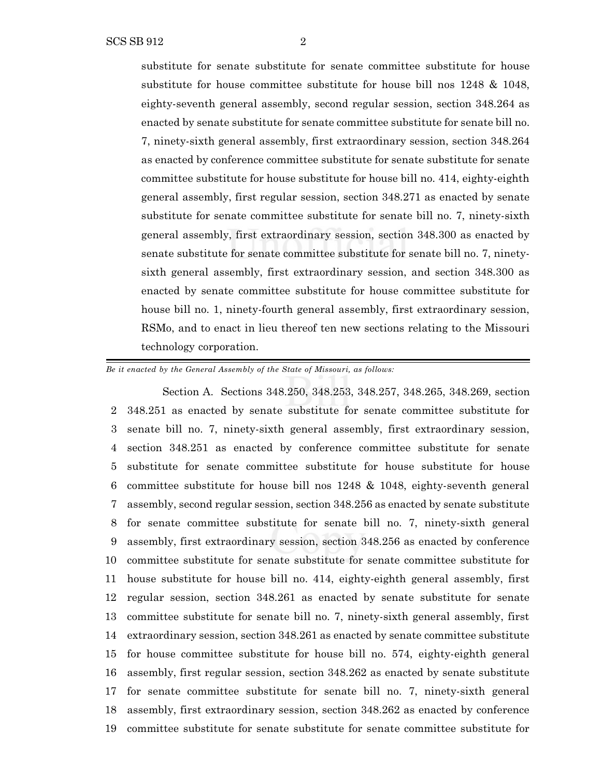substitute for senate substitute for senate committee substitute for house substitute for house committee substitute for house bill nos 1248 & 1048, eighty-seventh general assembly, second regular session, section 348.264 as enacted by senate substitute for senate committee substitute for senate bill no. 7, ninety-sixth general assembly, first extraordinary session, section 348.264 as enacted by conference committee substitute for senate substitute for senate committee substitute for house substitute for house bill no. 414, eighty-eighth general assembly, first regular session, section 348.271 as enacted by senate substitute for senate committee substitute for senate bill no. 7, ninety-sixth general assembly, first extraordinary session, section 348.300 as enacted by senate substitute for senate committee substitute for senate bill no. 7, ninetysixth general assembly, first extraordinary session, and section 348.300 as enacted by senate committee substitute for house committee substitute for house bill no. 1, ninety-fourth general assembly, first extraordinary session, RSMo, and to enact in lieu thereof ten new sections relating to the Missouri technology corporation.

*Be it enacted by the General Assembly of the State of Missouri, as follows:*

Section A. Sections 348.250, 348.253, 348.257, 348.265, 348.269, section 348.251 as enacted by senate substitute for senate committee substitute for senate bill no. 7, ninety-sixth general assembly, first extraordinary session, section 348.251 as enacted by conference committee substitute for senate substitute for senate committee substitute for house substitute for house committee substitute for house bill nos 1248 & 1048, eighty-seventh general assembly, second regular session, section 348.256 as enacted by senate substitute for senate committee substitute for senate bill no. 7, ninety-sixth general assembly, first extraordinary session, section 348.256 as enacted by conference committee substitute for senate substitute for senate committee substitute for house substitute for house bill no. 414, eighty-eighth general assembly, first regular session, section 348.261 as enacted by senate substitute for senate committee substitute for senate bill no. 7, ninety-sixth general assembly, first extraordinary session, section 348.261 as enacted by senate committee substitute for house committee substitute for house bill no. 574, eighty-eighth general assembly, first regular session, section 348.262 as enacted by senate substitute for senate committee substitute for senate bill no. 7, ninety-sixth general assembly, first extraordinary session, section 348.262 as enacted by conference committee substitute for senate substitute for senate committee substitute for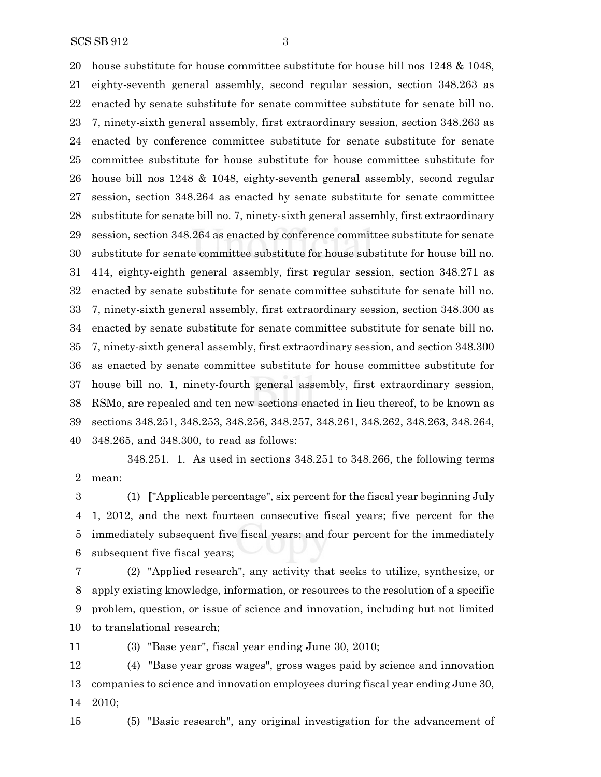SCS SB 912 3

 house substitute for house committee substitute for house bill nos 1248 & 1048, eighty-seventh general assembly, second regular session, section 348.263 as enacted by senate substitute for senate committee substitute for senate bill no. 7, ninety-sixth general assembly, first extraordinary session, section 348.263 as enacted by conference committee substitute for senate substitute for senate committee substitute for house substitute for house committee substitute for house bill nos 1248 & 1048, eighty-seventh general assembly, second regular session, section 348.264 as enacted by senate substitute for senate committee substitute for senate bill no. 7, ninety-sixth general assembly, first extraordinary session, section 348.264 as enacted by conference committee substitute for senate substitute for senate committee substitute for house substitute for house bill no. 414, eighty-eighth general assembly, first regular session, section 348.271 as enacted by senate substitute for senate committee substitute for senate bill no. 7, ninety-sixth general assembly, first extraordinary session, section 348.300 as enacted by senate substitute for senate committee substitute for senate bill no. 7, ninety-sixth general assembly, first extraordinary session, and section 348.300 as enacted by senate committee substitute for house committee substitute for house bill no. 1, ninety-fourth general assembly, first extraordinary session, RSMo, are repealed and ten new sections enacted in lieu thereof, to be known as sections 348.251, 348.253, 348.256, 348.257, 348.261, 348.262, 348.263, 348.264, 348.265, and 348.300, to read as follows:

348.251. 1. As used in sections 348.251 to 348.266, the following terms mean:

 (1) **[**"Applicable percentage", six percent for the fiscal year beginning July 1, 2012, and the next fourteen consecutive fiscal years; five percent for the immediately subsequent five fiscal years; and four percent for the immediately subsequent five fiscal years;

 (2) "Applied research", any activity that seeks to utilize, synthesize, or apply existing knowledge, information, or resources to the resolution of a specific problem, question, or issue of science and innovation, including but not limited to translational research;

(3) "Base year", fiscal year ending June 30, 2010;

 (4) "Base year gross wages", gross wages paid by science and innovation companies to science and innovation employees during fiscal year ending June 30, 2010;

(5) "Basic research", any original investigation for the advancement of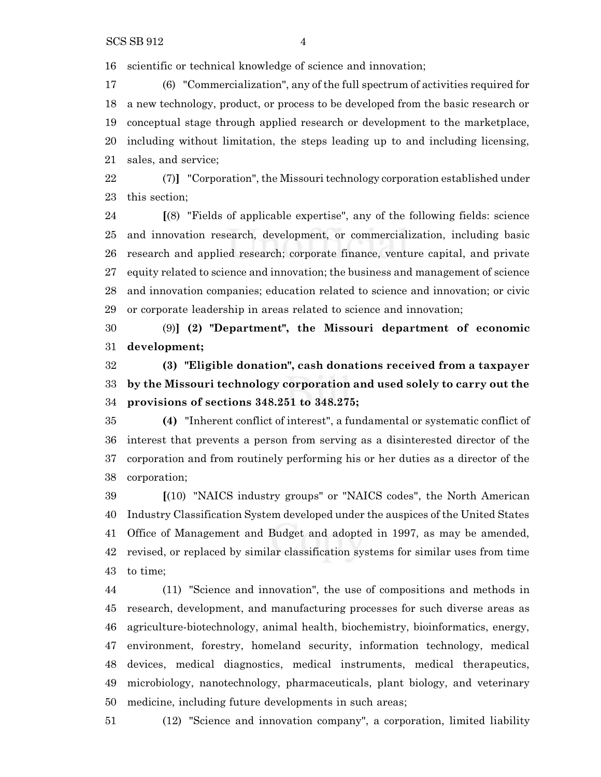scientific or technical knowledge of science and innovation;

 (6) "Commercialization", any of the full spectrum of activities required for a new technology, product, or process to be developed from the basic research or conceptual stage through applied research or development to the marketplace, including without limitation, the steps leading up to and including licensing, sales, and service;

 (7)**]** "Corporation", the Missouri technology corporation established under this section;

 **[**(8) "Fields of applicable expertise", any of the following fields: science and innovation research, development, or commercialization, including basic research and applied research; corporate finance, venture capital, and private equity related to science and innovation; the business and management of science and innovation companies; education related to science and innovation; or civic or corporate leadership in areas related to science and innovation;

 (9)**] (2) "Department", the Missouri department of economic development;**

 **(3) "Eligible donation", cash donations received from a taxpayer by the Missouri technology corporation and used solely to carry out the provisions of sections 348.251 to 348.275;**

 **(4)** "Inherent conflict of interest", a fundamental or systematic conflict of interest that prevents a person from serving as a disinterested director of the corporation and from routinely performing his or her duties as a director of the corporation;

 **[**(10) "NAICS industry groups" or "NAICS codes", the North American Industry Classification System developed under the auspices of the United States Office of Management and Budget and adopted in 1997, as may be amended, revised, or replaced by similar classification systems for similar uses from time to time;

 (11) "Science and innovation", the use of compositions and methods in research, development, and manufacturing processes for such diverse areas as agriculture-biotechnology, animal health, biochemistry, bioinformatics, energy, environment, forestry, homeland security, information technology, medical devices, medical diagnostics, medical instruments, medical therapeutics, microbiology, nanotechnology, pharmaceuticals, plant biology, and veterinary medicine, including future developments in such areas;

(12) "Science and innovation company", a corporation, limited liability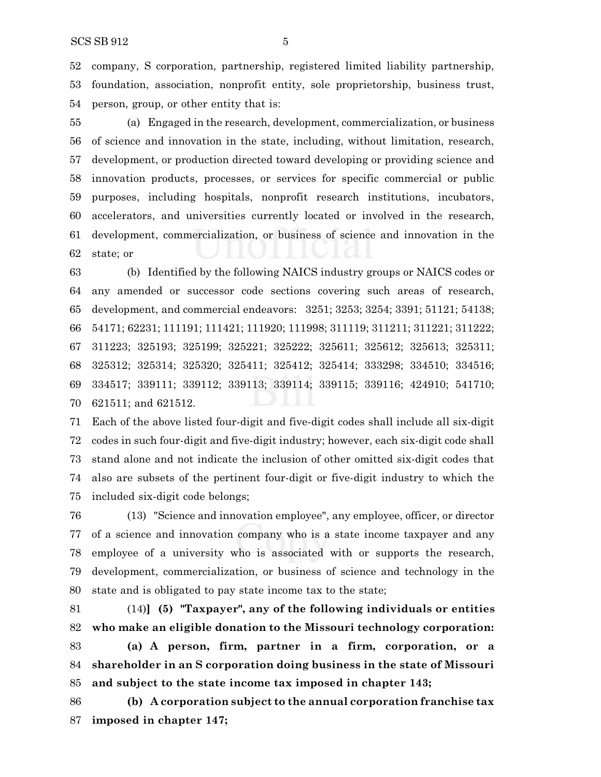company, S corporation, partnership, registered limited liability partnership, foundation, association, nonprofit entity, sole proprietorship, business trust, person, group, or other entity that is:

 (a) Engaged in the research, development, commercialization, or business of science and innovation in the state, including, without limitation, research, development, or production directed toward developing or providing science and innovation products, processes, or services for specific commercial or public purposes, including hospitals, nonprofit research institutions, incubators, accelerators, and universities currently located or involved in the research, development, commercialization, or business of science and innovation in the state; or

 (b) Identified by the following NAICS industry groups or NAICS codes or any amended or successor code sections covering such areas of research, development, and commercial endeavors: 3251; 3253; 3254; 3391; 51121; 54138; 54171; 62231; 111191; 111421; 111920; 111998; 311119; 311211; 311221; 311222; 311223; 325193; 325199; 325221; 325222; 325611; 325612; 325613; 325311; 325312; 325314; 325320; 325411; 325412; 325414; 333298; 334510; 334516; 334517; 339111; 339112; 339113; 339114; 339115; 339116; 424910; 541710; 621511; and 621512.

 Each of the above listed four-digit and five-digit codes shall include all six-digit codes in such four-digit and five-digit industry; however, each six-digit code shall stand alone and not indicate the inclusion of other omitted six-digit codes that also are subsets of the pertinent four-digit or five-digit industry to which the included six-digit code belongs;

 (13) "Science and innovation employee", any employee, officer, or director of a science and innovation company who is a state income taxpayer and any employee of a university who is associated with or supports the research, development, commercialization, or business of science and technology in the state and is obligated to pay state income tax to the state;

 (14)**] (5) "Taxpayer", any of the following individuals or entities who make an eligible donation to the Missouri technology corporation:**

 **(a) A person, firm, partner in a firm, corporation, or a shareholder in an S corporation doing business in the state of Missouri and subject to the state income tax imposed in chapter 143;**

 **(b) A corporation subject to the annual corporation franchise tax imposed in chapter 147;**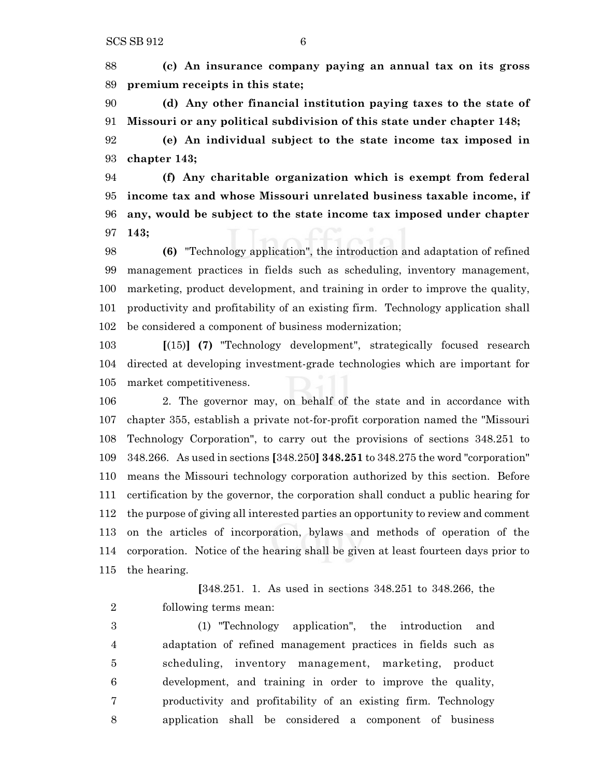**(c) An insurance company paying an annual tax on its gross premium receipts in this state;**

 **(d) Any other financial institution paying taxes to the state of Missouri or any political subdivision of this state under chapter 148;**

 **(e) An individual subject to the state income tax imposed in chapter 143;**

 **(f) Any charitable organization which is exempt from federal income tax and whose Missouri unrelated business taxable income, if any, would be subject to the state income tax imposed under chapter 143;**

 **(6)** "Technology application", the introduction and adaptation of refined management practices in fields such as scheduling, inventory management, marketing, product development, and training in order to improve the quality, productivity and profitability of an existing firm. Technology application shall be considered a component of business modernization;

 **[**(15)**] (7)** "Technology development", strategically focused research directed at developing investment-grade technologies which are important for market competitiveness.

 2. The governor may, on behalf of the state and in accordance with chapter 355, establish a private not-for-profit corporation named the "Missouri Technology Corporation", to carry out the provisions of sections 348.251 to 348.266. As used in sections **[**348.250**] 348.251** to 348.275 the word "corporation" means the Missouri technology corporation authorized by this section. Before certification by the governor, the corporation shall conduct a public hearing for the purpose of giving all interested parties an opportunity to review and comment on the articles of incorporation, bylaws and methods of operation of the corporation. Notice of the hearing shall be given at least fourteen days prior to the hearing.

**[**348.251. 1. As used in sections 348.251 to 348.266, the following terms mean:

 (1) "Technology application", the introduction and adaptation of refined management practices in fields such as scheduling, inventory management, marketing, product development, and training in order to improve the quality, productivity and profitability of an existing firm. Technology application shall be considered a component of business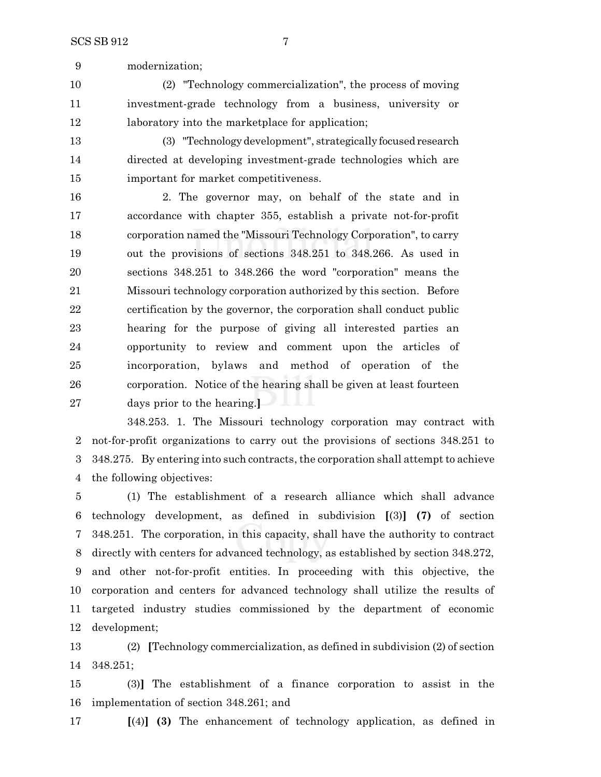modernization;

 (2) "Technology commercialization", the process of moving investment-grade technology from a business, university or laboratory into the marketplace for application;

 (3) "Technologydevelopment", strategically focused research directed at developing investment-grade technologies which are important for market competitiveness.

 2. The governor may, on behalf of the state and in accordance with chapter 355, establish a private not-for-profit corporation named the "Missouri Technology Corporation", to carry out the provisions of sections 348.251 to 348.266. As used in sections 348.251 to 348.266 the word "corporation" means the Missouri technology corporation authorized by this section. Before certification by the governor, the corporation shall conduct public hearing for the purpose of giving all interested parties an opportunity to review and comment upon the articles of incorporation, bylaws and method of operation of the corporation. Notice of the hearing shall be given at least fourteen days prior to the hearing.**]**

348.253. 1. The Missouri technology corporation may contract with not-for-profit organizations to carry out the provisions of sections 348.251 to 3 348.275. By entering into such contracts, the corporation shall attempt to achieve the following objectives:

 (1) The establishment of a research alliance which shall advance technology development, as defined in subdivision **[**(3)**] (7)** of section 348.251. The corporation, in this capacity, shall have the authority to contract directly with centers for advanced technology, as established by section 348.272, and other not-for-profit entities. In proceeding with this objective, the corporation and centers for advanced technology shall utilize the results of targeted industry studies commissioned by the department of economic development;

 (2) **[**Technology commercialization, as defined in subdivision (2) of section 348.251;

 (3)**]** The establishment of a finance corporation to assist in the implementation of section 348.261; and

**[**(4)**] (3)** The enhancement of technology application, as defined in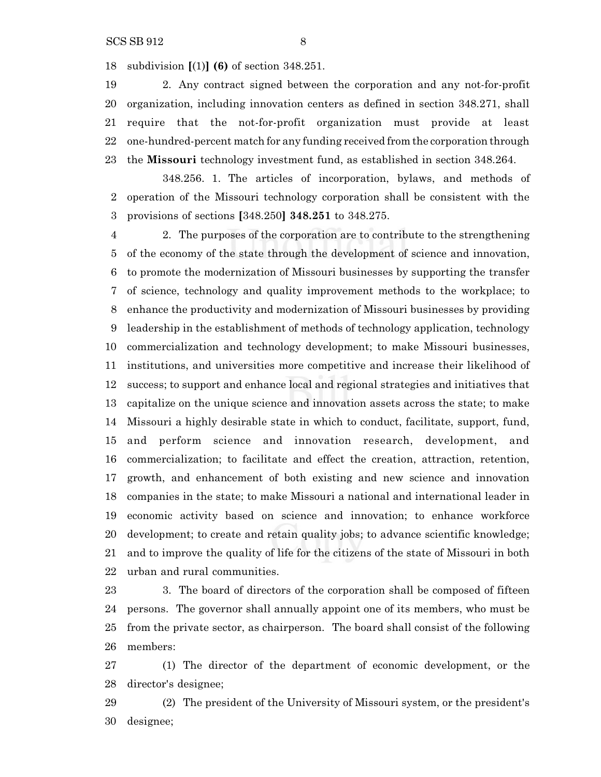subdivision **[**(1)**] (6)** of section 348.251.

 2. Any contract signed between the corporation and any not-for-profit organization, including innovation centers as defined in section 348.271, shall require that the not-for-profit organization must provide at least one-hundred-percent match for any funding received from the corporation through the **Missouri** technology investment fund, as established in section 348.264.

348.256. 1. The articles of incorporation, bylaws, and methods of operation of the Missouri technology corporation shall be consistent with the provisions of sections **[**348.250**] 348.251** to 348.275.

 2. The purposes of the corporation are to contribute to the strengthening of the economy of the state through the development of science and innovation, to promote the modernization of Missouri businesses by supporting the transfer of science, technology and quality improvement methods to the workplace; to enhance the productivity and modernization of Missouri businesses by providing leadership in the establishment of methods of technology application, technology commercialization and technology development; to make Missouri businesses, institutions, and universities more competitive and increase their likelihood of success; to support and enhance local and regional strategies and initiatives that capitalize on the unique science and innovation assets across the state; to make Missouri a highly desirable state in which to conduct, facilitate, support, fund, and perform science and innovation research, development, and commercialization; to facilitate and effect the creation, attraction, retention, growth, and enhancement of both existing and new science and innovation companies in the state; to make Missouri a national and international leader in economic activity based on science and innovation; to enhance workforce development; to create and retain quality jobs; to advance scientific knowledge; and to improve the quality of life for the citizens of the state of Missouri in both urban and rural communities.

23 3. The board of directors of the corporation shall be composed of fifteen persons. The governor shall annually appoint one of its members, who must be from the private sector, as chairperson. The board shall consist of the following members:

 (1) The director of the department of economic development, or the director's designee;

 (2) The president of the University of Missouri system, or the president's designee;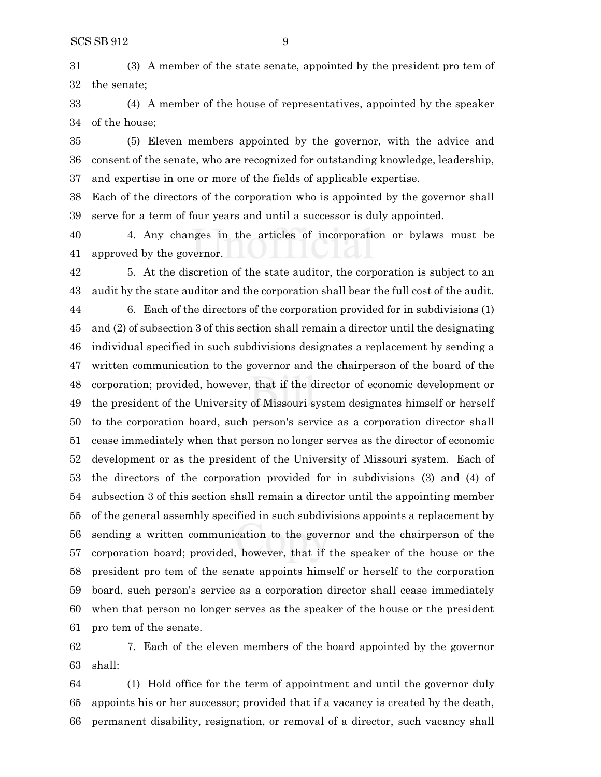(3) A member of the state senate, appointed by the president pro tem of the senate;

 (4) A member of the house of representatives, appointed by the speaker of the house;

 (5) Eleven members appointed by the governor, with the advice and consent of the senate, who are recognized for outstanding knowledge, leadership, and expertise in one or more of the fields of applicable expertise.

 Each of the directors of the corporation who is appointed by the governor shall serve for a term of four years and until a successor is duly appointed.

 4. Any changes in the articles of incorporation or bylaws must be approved by the governor.

 5. At the discretion of the state auditor, the corporation is subject to an audit by the state auditor and the corporation shall bear the full cost of the audit.

 6. Each of the directors of the corporation provided for in subdivisions (1) and (2) of subsection 3 of this section shall remain a director until the designating individual specified in such subdivisions designates a replacement by sending a written communication to the governor and the chairperson of the board of the corporation; provided, however, that if the director of economic development or the president of the University of Missouri system designates himself or herself to the corporation board, such person's service as a corporation director shall cease immediately when that person no longer serves as the director of economic development or as the president of the University of Missouri system. Each of the directors of the corporation provided for in subdivisions (3) and (4) of subsection 3 of this section shall remain a director until the appointing member of the general assembly specified in such subdivisions appoints a replacement by sending a written communication to the governor and the chairperson of the corporation board; provided, however, that if the speaker of the house or the president pro tem of the senate appoints himself or herself to the corporation board, such person's service as a corporation director shall cease immediately when that person no longer serves as the speaker of the house or the president pro tem of the senate.

 7. Each of the eleven members of the board appointed by the governor shall:

 (1) Hold office for the term of appointment and until the governor duly appoints his or her successor; provided that if a vacancy is created by the death, permanent disability, resignation, or removal of a director, such vacancy shall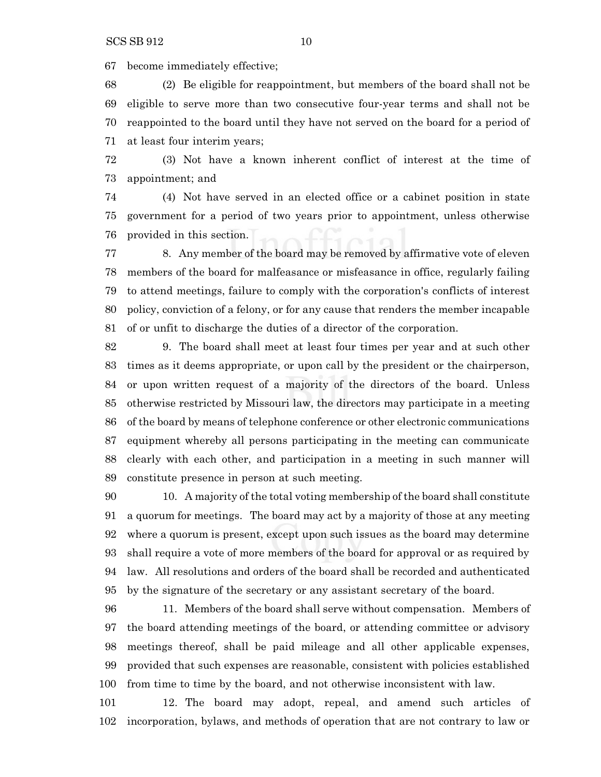become immediately effective;

 (2) Be eligible for reappointment, but members of the board shall not be eligible to serve more than two consecutive four-year terms and shall not be reappointed to the board until they have not served on the board for a period of at least four interim years;

 (3) Not have a known inherent conflict of interest at the time of appointment; and

 (4) Not have served in an elected office or a cabinet position in state government for a period of two years prior to appointment, unless otherwise provided in this section.

 8. Any member of the board may be removed by affirmative vote of eleven members of the board for malfeasance or misfeasance in office, regularly failing to attend meetings, failure to comply with the corporation's conflicts of interest policy, conviction of a felony, or for any cause that renders the member incapable of or unfit to discharge the duties of a director of the corporation.

 9. The board shall meet at least four times per year and at such other times as it deems appropriate, or upon call by the president or the chairperson, or upon written request of a majority of the directors of the board. Unless otherwise restricted by Missouri law, the directors may participate in a meeting of the board by means of telephone conference or other electronic communications equipment whereby all persons participating in the meeting can communicate clearly with each other, and participation in a meeting in such manner will constitute presence in person at such meeting.

 10. A majority of the total voting membership of the board shall constitute a quorum for meetings. The board may act by a majority of those at any meeting where a quorum is present, except upon such issues as the board may determine shall require a vote of more members of the board for approval or as required by law. All resolutions and orders of the board shall be recorded and authenticated by the signature of the secretary or any assistant secretary of the board.

 11. Members of the board shall serve without compensation. Members of the board attending meetings of the board, or attending committee or advisory meetings thereof, shall be paid mileage and all other applicable expenses, provided that such expenses are reasonable, consistent with policies established from time to time by the board, and not otherwise inconsistent with law.

 12. The board may adopt, repeal, and amend such articles of incorporation, bylaws, and methods of operation that are not contrary to law or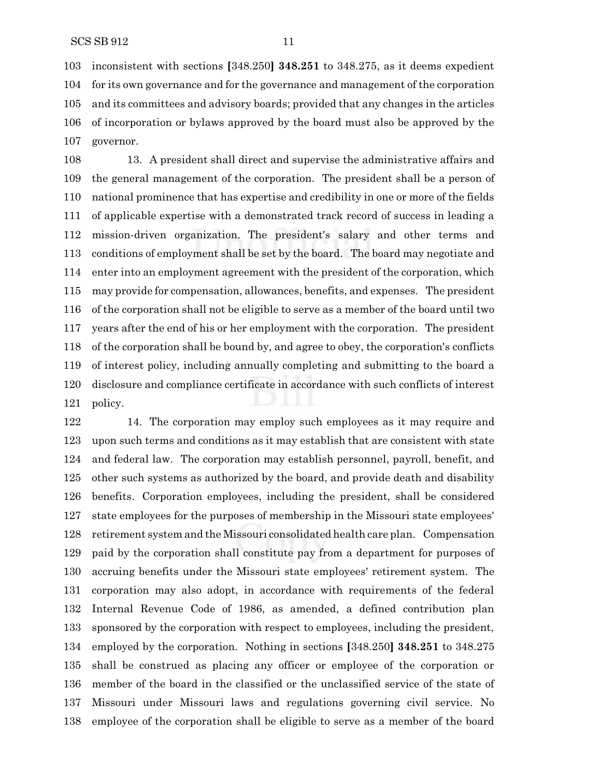inconsistent with sections **[**348.250**] 348.251** to 348.275, as it deems expedient for its own governance and for the governance and management of the corporation and its committees and advisory boards; provided that any changes in the articles of incorporation or bylaws approved by the board must also be approved by the governor.

 13. A president shall direct and supervise the administrative affairs and the general management of the corporation. The president shall be a person of national prominence that has expertise and credibility in one or more of the fields of applicable expertise with a demonstrated track record of success in leading a mission-driven organization. The president's salary and other terms and conditions of employment shall be set by the board. The board may negotiate and enter into an employment agreement with the president of the corporation, which may provide for compensation, allowances, benefits, and expenses. The president of the corporation shall not be eligible to serve as a member of the board until two years after the end of his or her employment with the corporation. The president of the corporation shall be bound by, and agree to obey, the corporation's conflicts of interest policy, including annually completing and submitting to the board a disclosure and compliance certificate in accordance with such conflicts of interest policy.

 14. The corporation may employ such employees as it may require and upon such terms and conditions as it may establish that are consistent with state and federal law. The corporation may establish personnel, payroll, benefit, and other such systems as authorized by the board, and provide death and disability benefits. Corporation employees, including the president, shall be considered state employees for the purposes of membership in the Missouri state employees' retirement system and the Missouri consolidated health care plan. Compensation paid by the corporation shall constitute pay from a department for purposes of accruing benefits under the Missouri state employees' retirement system. The corporation may also adopt, in accordance with requirements of the federal Internal Revenue Code of 1986, as amended, a defined contribution plan sponsored by the corporation with respect to employees, including the president, employed by the corporation. Nothing in sections **[**348.250**] 348.251** to 348.275 shall be construed as placing any officer or employee of the corporation or member of the board in the classified or the unclassified service of the state of Missouri under Missouri laws and regulations governing civil service. No employee of the corporation shall be eligible to serve as a member of the board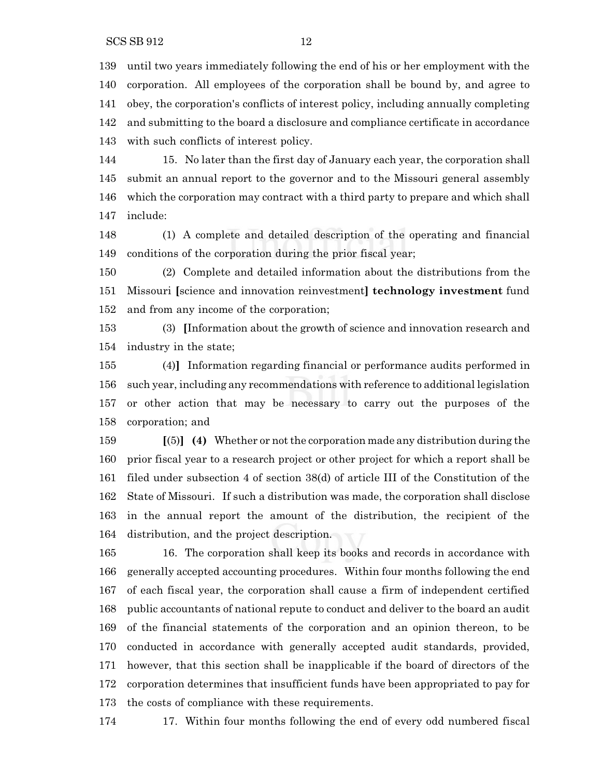SCS SB 912 12

 until two years immediately following the end of his or her employment with the corporation. All employees of the corporation shall be bound by, and agree to obey, the corporation's conflicts of interest policy, including annually completing and submitting to the board a disclosure and compliance certificate in accordance with such conflicts of interest policy.

 15. No later than the first day of January each year, the corporation shall submit an annual report to the governor and to the Missouri general assembly which the corporation may contract with a third party to prepare and which shall include:

 (1) A complete and detailed description of the operating and financial conditions of the corporation during the prior fiscal year;

 (2) Complete and detailed information about the distributions from the Missouri **[**science and innovation reinvestment**] technology investment** fund and from any income of the corporation;

 (3) **[**Information about the growth of science and innovation research and industry in the state;

 (4)**]** Information regarding financial or performance audits performed in such year, including any recommendations with reference to additional legislation or other action that may be necessary to carry out the purposes of the corporation; and

 **[**(5)**] (4)** Whether or not the corporation made any distribution during the prior fiscal year to a research project or other project for which a report shall be filed under subsection 4 of section 38(d) of article III of the Constitution of the State of Missouri. If such a distribution was made, the corporation shall disclose in the annual report the amount of the distribution, the recipient of the distribution, and the project description.

 16. The corporation shall keep its books and records in accordance with generally accepted accounting procedures. Within four months following the end of each fiscal year, the corporation shall cause a firm of independent certified public accountants of national repute to conduct and deliver to the board an audit of the financial statements of the corporation and an opinion thereon, to be conducted in accordance with generally accepted audit standards, provided, however, that this section shall be inapplicable if the board of directors of the corporation determines that insufficient funds have been appropriated to pay for the costs of compliance with these requirements.

17. Within four months following the end of every odd numbered fiscal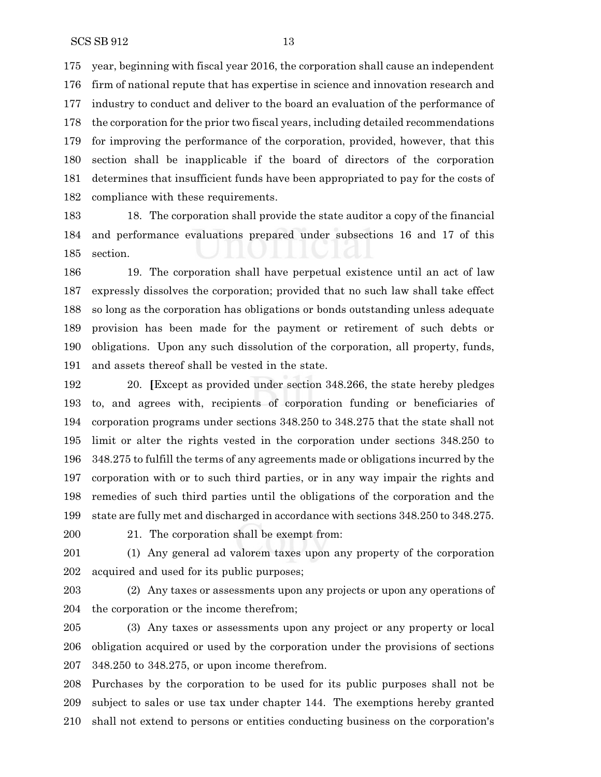year, beginning with fiscal year 2016, the corporation shall cause an independent firm of national repute that has expertise in science and innovation research and industry to conduct and deliver to the board an evaluation of the performance of the corporation for the prior two fiscal years, including detailed recommendations for improving the performance of the corporation, provided, however, that this section shall be inapplicable if the board of directors of the corporation determines that insufficient funds have been appropriated to pay for the costs of compliance with these requirements.

 18. The corporation shall provide the state auditor a copy of the financial and performance evaluations prepared under subsections 16 and 17 of this section.

 19. The corporation shall have perpetual existence until an act of law expressly dissolves the corporation; provided that no such law shall take effect so long as the corporation has obligations or bonds outstanding unless adequate provision has been made for the payment or retirement of such debts or obligations. Upon any such dissolution of the corporation, all property, funds, and assets thereof shall be vested in the state.

 20. **[**Except as provided under section 348.266, the state hereby pledges to, and agrees with, recipients of corporation funding or beneficiaries of corporation programs under sections 348.250 to 348.275 that the state shall not limit or alter the rights vested in the corporation under sections 348.250 to 348.275 to fulfill the terms of any agreements made or obligations incurred by the corporation with or to such third parties, or in any way impair the rights and remedies of such third parties until the obligations of the corporation and the state are fully met and discharged in accordance with sections 348.250 to 348.275.

21. The corporation shall be exempt from:

 (1) Any general ad valorem taxes upon any property of the corporation acquired and used for its public purposes;

 (2) Any taxes or assessments upon any projects or upon any operations of the corporation or the income therefrom;

 (3) Any taxes or assessments upon any project or any property or local obligation acquired or used by the corporation under the provisions of sections 348.250 to 348.275, or upon income therefrom.

 Purchases by the corporation to be used for its public purposes shall not be subject to sales or use tax under chapter 144. The exemptions hereby granted shall not extend to persons or entities conducting business on the corporation's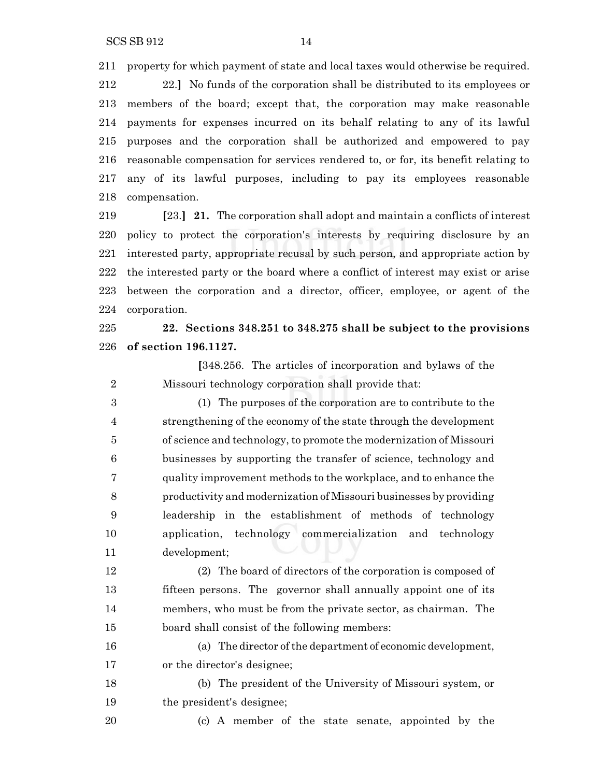property for which payment of state and local taxes would otherwise be required.

 22.**]** No funds of the corporation shall be distributed to its employees or members of the board; except that, the corporation may make reasonable payments for expenses incurred on its behalf relating to any of its lawful purposes and the corporation shall be authorized and empowered to pay reasonable compensation for services rendered to, or for, its benefit relating to any of its lawful purposes, including to pay its employees reasonable compensation.

 **[**23.**] 21.** The corporation shall adopt and maintain a conflicts of interest policy to protect the corporation's interests by requiring disclosure by an interested party, appropriate recusal by such person, and appropriate action by the interested party or the board where a conflict of interest may exist or arise between the corporation and a director, officer, employee, or agent of the corporation.

 **22. Sections 348.251 to 348.275 shall be subject to the provisions of section 196.1127.**

**[**348.256. The articles of incorporation and bylaws of the Missouri technology corporation shall provide that:

 (1) The purposes of the corporation are to contribute to the strengthening of the economy of the state through the development of science and technology, to promote the modernization of Missouri businesses by supporting the transfer of science, technology and quality improvement methods to the workplace, and to enhance the productivity and modernization of Missouri businesses by providing leadership in the establishment of methods of technology application, technology commercialization and technology development;

 (2) The board of directors of the corporation is composed of fifteen persons. The governor shall annually appoint one of its members, who must be from the private sector, as chairman. The board shall consist of the following members:

 (a) The director ofthe department of economic development, or the director's designee;

 (b) The president of the University of Missouri system, or the president's designee;

(c) A member of the state senate, appointed by the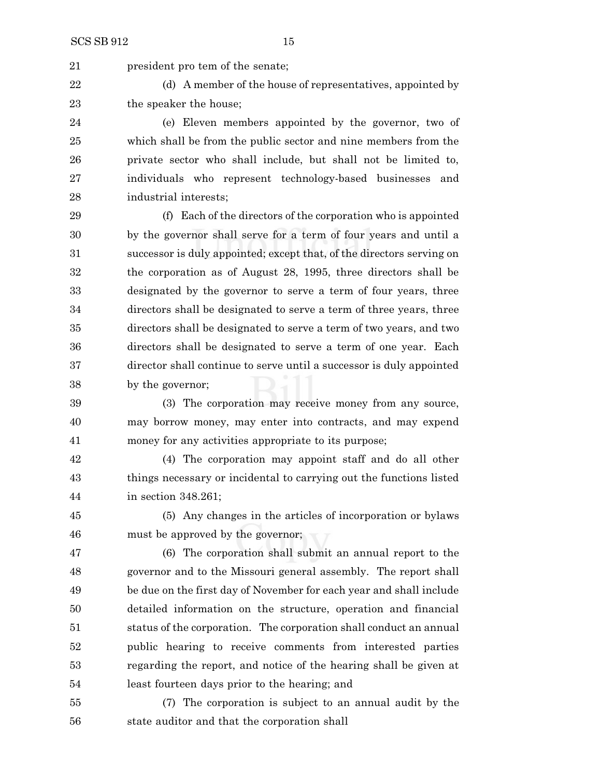21 president pro tem of the senate;

22 (d) A member of the house of representatives, appointed by 23 the speaker the house:

 (e) Eleven members appointed by the governor, two of which shall be from the public sector and nine members from the private sector who shall include, but shall not be limited to, individuals who represent technology-based businesses and industrial interests;

 (f) Each of the directors of the corporation who is appointed by the governor shall serve for a term of four years and until a successor is duly appointed; except that, of the directors serving on the corporation as of August 28, 1995, three directors shall be designated by the governor to serve a term of four years, three directors shall be designated to serve a term of three years, three directors shall be designated to serve a term of two years, and two directors shall be designated to serve a term of one year. Each director shall continue to serve until a successor is duly appointed by the governor;

 (3) The corporation may receive money from any source, may borrow money, may enter into contracts, and may expend money for any activities appropriate to its purpose;

 (4) The corporation may appoint staff and do all other things necessary or incidental to carrying out the functions listed in section 348.261;

 (5) Any changes in the articles of incorporation or bylaws must be approved by the governor;

 (6) The corporation shall submit an annual report to the governor and to the Missouri general assembly. The report shall be due on the first day of November for each year and shall include detailed information on the structure, operation and financial status of the corporation. The corporation shall conduct an annual public hearing to receive comments from interested parties regarding the report, and notice of the hearing shall be given at least fourteen days prior to the hearing; and

 (7) The corporation is subject to an annual audit by the state auditor and that the corporation shall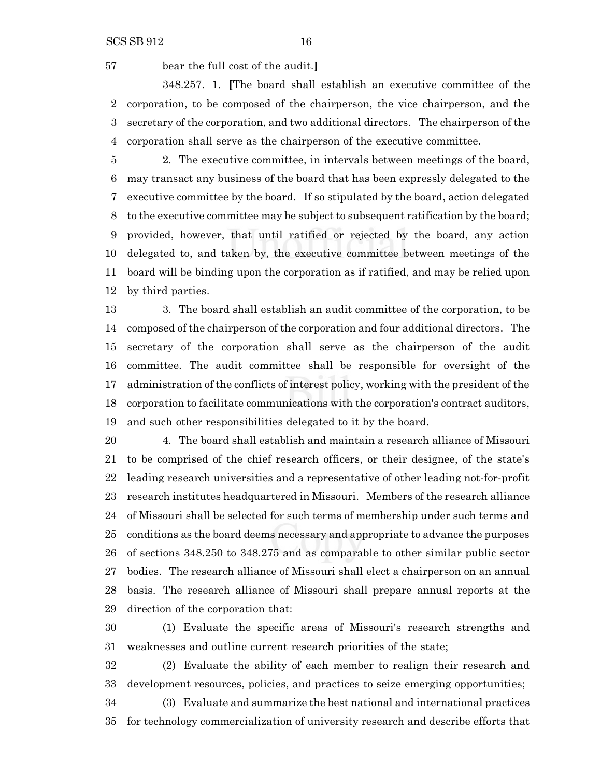bear the full cost of the audit.**]**

348.257. 1. **[**The board shall establish an executive committee of the corporation, to be composed of the chairperson, the vice chairperson, and the secretary of the corporation, and two additional directors. The chairperson of the corporation shall serve as the chairperson of the executive committee.

 2. The executive committee, in intervals between meetings of the board, may transact any business of the board that has been expressly delegated to the executive committee by the board. If so stipulated by the board, action delegated to the executive committee may be subject to subsequent ratification by the board; provided, however, that until ratified or rejected by the board, any action delegated to, and taken by, the executive committee between meetings of the board will be binding upon the corporation as if ratified, and may be relied upon by third parties.

 3. The board shall establish an audit committee of the corporation, to be composed of the chairperson of the corporation and four additional directors. The secretary of the corporation shall serve as the chairperson of the audit committee. The audit committee shall be responsible for oversight of the administration of the conflicts of interest policy, working with the president of the corporation to facilitate communications with the corporation's contract auditors, and such other responsibilities delegated to it by the board.

 4. The board shall establish and maintain a research alliance of Missouri to be comprised of the chief research officers, or their designee, of the state's leading research universities and a representative of other leading not-for-profit research institutes headquartered in Missouri. Members of the research alliance of Missouri shall be selected for such terms of membership under such terms and conditions as the board deems necessary and appropriate to advance the purposes of sections 348.250 to 348.275 and as comparable to other similar public sector bodies. The research alliance of Missouri shall elect a chairperson on an annual basis. The research alliance of Missouri shall prepare annual reports at the direction of the corporation that:

 (1) Evaluate the specific areas of Missouri's research strengths and weaknesses and outline current research priorities of the state;

 (2) Evaluate the ability of each member to realign their research and development resources, policies, and practices to seize emerging opportunities;

 (3) Evaluate and summarize the best national and international practices for technology commercialization of university research and describe efforts that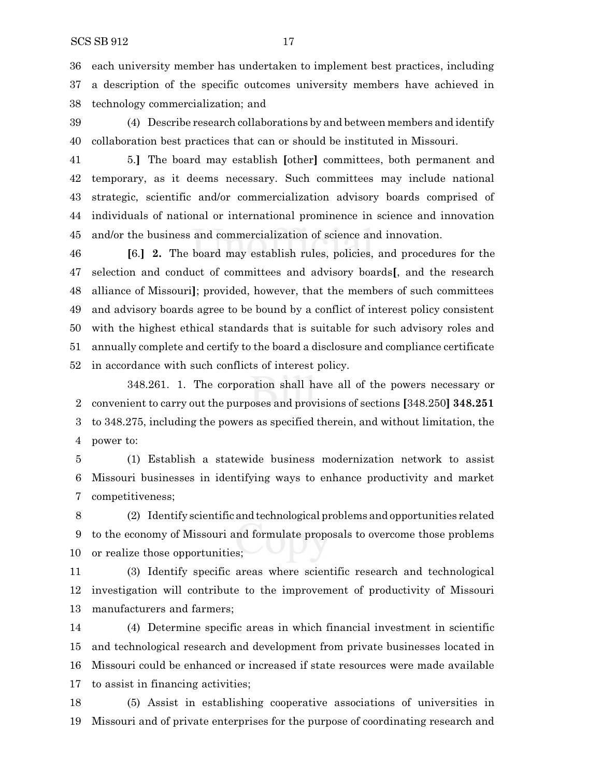each university member has undertaken to implement best practices, including a description of the specific outcomes university members have achieved in technology commercialization; and

 (4) Describe research collaborations by and between members and identify collaboration best practices that can or should be instituted in Missouri.

 5.**]** The board may establish **[**other**]** committees, both permanent and temporary, as it deems necessary. Such committees may include national strategic, scientific and/or commercialization advisory boards comprised of individuals of national or international prominence in science and innovation and/or the business and commercialization of science and innovation.

 **[**6.**] 2.** The board may establish rules, policies, and procedures for the selection and conduct of committees and advisory boards**[**, and the research alliance of Missouri**]**; provided, however, that the members of such committees and advisory boards agree to be bound by a conflict of interest policy consistent with the highest ethical standards that is suitable for such advisory roles and annually complete and certify to the board a disclosure and compliance certificate in accordance with such conflicts of interest policy.

348.261. 1. The corporation shall have all of the powers necessary or convenient to carry out the purposes and provisions of sections **[**348.250**] 348.251** to 348.275, including the powers as specified therein, and without limitation, the power to:

 (1) Establish a statewide business modernization network to assist Missouri businesses in identifying ways to enhance productivity and market competitiveness;

 (2) Identify scientific and technological problems and opportunities related to the economy of Missouri and formulate proposals to overcome those problems or realize those opportunities;

 (3) Identify specific areas where scientific research and technological investigation will contribute to the improvement of productivity of Missouri manufacturers and farmers;

 (4) Determine specific areas in which financial investment in scientific and technological research and development from private businesses located in Missouri could be enhanced or increased if state resources were made available to assist in financing activities;

 (5) Assist in establishing cooperative associations of universities in Missouri and of private enterprises for the purpose of coordinating research and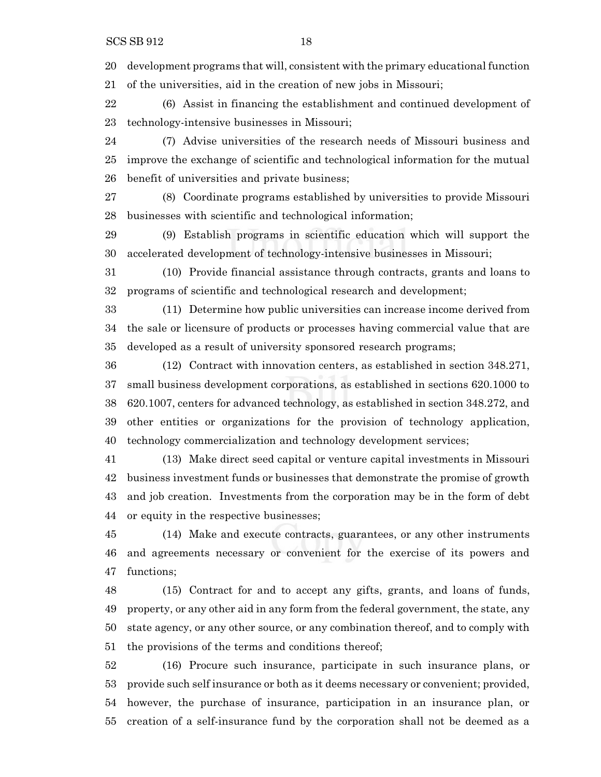development programs that will, consistent with the primary educational function of the universities, aid in the creation of new jobs in Missouri;

 (6) Assist in financing the establishment and continued development of technology-intensive businesses in Missouri;

 (7) Advise universities of the research needs of Missouri business and improve the exchange of scientific and technological information for the mutual benefit of universities and private business;

 (8) Coordinate programs established by universities to provide Missouri businesses with scientific and technological information;

 (9) Establish programs in scientific education which will support the accelerated development of technology-intensive businesses in Missouri;

 (10) Provide financial assistance through contracts, grants and loans to programs of scientific and technological research and development;

 (11) Determine how public universities can increase income derived from the sale or licensure of products or processes having commercial value that are developed as a result of university sponsored research programs;

 (12) Contract with innovation centers, as established in section 348.271, small business development corporations, as established in sections 620.1000 to 620.1007, centers for advanced technology, as established in section 348.272, and other entities or organizations for the provision of technology application, technology commercialization and technology development services;

 (13) Make direct seed capital or venture capital investments in Missouri business investment funds or businesses that demonstrate the promise of growth and job creation. Investments from the corporation may be in the form of debt or equity in the respective businesses;

 (14) Make and execute contracts, guarantees, or any other instruments and agreements necessary or convenient for the exercise of its powers and functions;

 (15) Contract for and to accept any gifts, grants, and loans of funds, property, or any other aid in any form from the federal government, the state, any state agency, or any other source, or any combination thereof, and to comply with the provisions of the terms and conditions thereof;

 (16) Procure such insurance, participate in such insurance plans, or provide such self insurance or both as it deems necessary or convenient; provided, however, the purchase of insurance, participation in an insurance plan, or creation of a self-insurance fund by the corporation shall not be deemed as a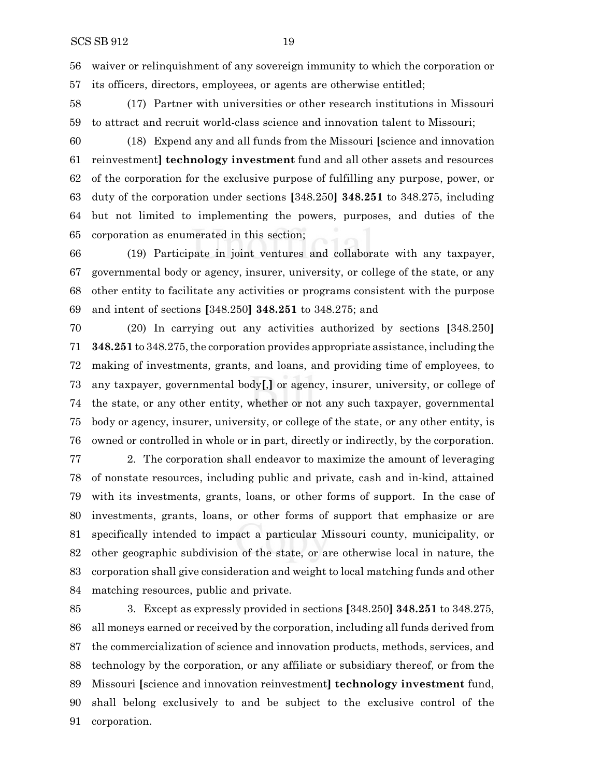waiver or relinquishment of any sovereign immunity to which the corporation or its officers, directors, employees, or agents are otherwise entitled;

 (17) Partner with universities or other research institutions in Missouri to attract and recruit world-class science and innovation talent to Missouri;

 (18) Expend any and all funds from the Missouri **[**science and innovation reinvestment**] technology investment** fund and all other assets and resources of the corporation for the exclusive purpose of fulfilling any purpose, power, or duty of the corporation under sections **[**348.250**] 348.251** to 348.275, including but not limited to implementing the powers, purposes, and duties of the corporation as enumerated in this section;

 (19) Participate in joint ventures and collaborate with any taxpayer, governmental body or agency, insurer, university, or college of the state, or any other entity to facilitate any activities or programs consistent with the purpose and intent of sections **[**348.250**] 348.251** to 348.275; and

 (20) In carrying out any activities authorized by sections **[**348.250**] 348.251** to 348.275,the corporation provides appropriate assistance, including the making of investments, grants, and loans, and providing time of employees, to any taxpayer, governmental body**[**,**]** or agency, insurer, university, or college of the state, or any other entity, whether or not any such taxpayer, governmental body or agency, insurer, university, or college of the state, or any other entity, is owned or controlled in whole or in part, directly or indirectly, by the corporation.

 2. The corporation shall endeavor to maximize the amount of leveraging of nonstate resources, including public and private, cash and in-kind, attained with its investments, grants, loans, or other forms of support. In the case of investments, grants, loans, or other forms of support that emphasize or are specifically intended to impact a particular Missouri county, municipality, or other geographic subdivision of the state, or are otherwise local in nature, the corporation shall give consideration and weight to local matching funds and other matching resources, public and private.

 3. Except as expressly provided in sections **[**348.250**] 348.251** to 348.275, all moneys earned or received by the corporation, including all funds derived from the commercialization of science and innovation products, methods, services, and technology by the corporation, or any affiliate or subsidiary thereof, or from the Missouri **[**science and innovation reinvestment**] technology investment** fund, shall belong exclusively to and be subject to the exclusive control of the corporation.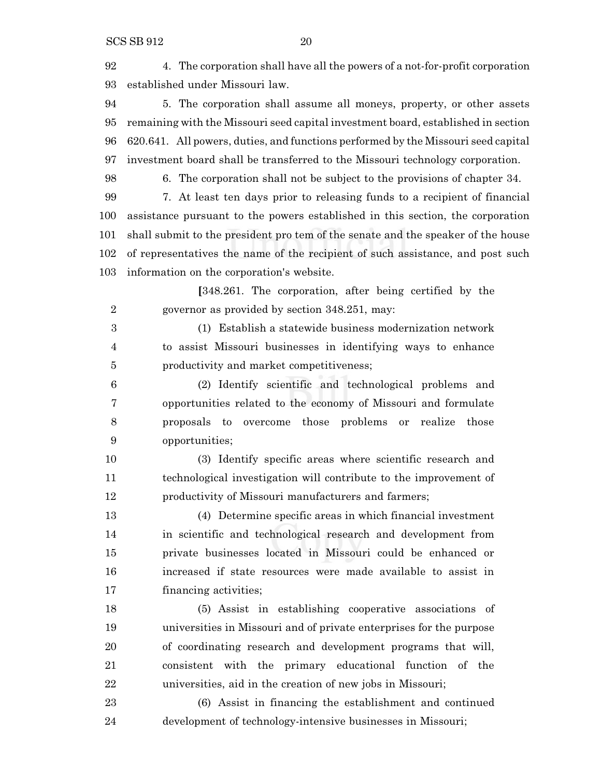4. The corporation shall have all the powers of a not-for-profit corporation established under Missouri law.

 5. The corporation shall assume all moneys, property, or other assets remaining with the Missouri seed capital investment board, established in section 620.641. All powers, duties, and functions performed by the Missouri seed capital investment board shall be transferred to the Missouri technology corporation.

6. The corporation shall not be subject to the provisions of chapter 34.

 7. At least ten days prior to releasing funds to a recipient of financial assistance pursuant to the powers established in this section, the corporation shall submit to the president pro tem of the senate and the speaker of the house of representatives the name of the recipient of such assistance, and post such information on the corporation's website.

**[**348.261. The corporation, after being certified by the governor as provided by section 348.251, may:

 (1) Establish a statewide business modernization network to assist Missouri businesses in identifying ways to enhance productivity and market competitiveness;

 (2) Identify scientific and technological problems and opportunities related to the economy of Missouri and formulate proposals to overcome those problems or realize those opportunities;

 (3) Identify specific areas where scientific research and technological investigation will contribute to the improvement of productivity of Missouri manufacturers and farmers;

 (4) Determine specific areas in which financial investment in scientific and technological research and development from private businesses located in Missouri could be enhanced or increased if state resources were made available to assist in financing activities;

 (5) Assist in establishing cooperative associations of universities in Missouri and of private enterprises for the purpose of coordinating research and development programs that will, consistent with the primary educational function of the universities, aid in the creation of new jobs in Missouri;

 (6) Assist in financing the establishment and continued development of technology-intensive businesses in Missouri;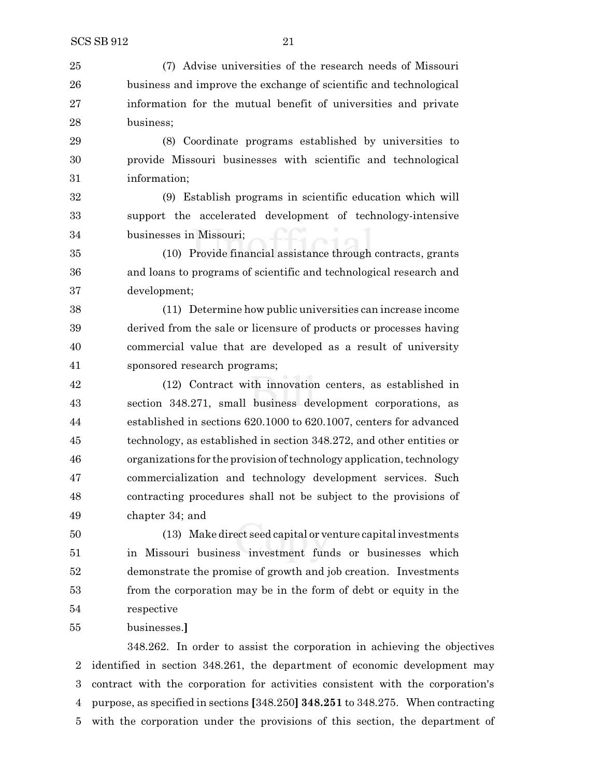(7) Advise universities of the research needs of Missouri business and improve the exchange of scientific and technological information for the mutual benefit of universities and private business;

 (8) Coordinate programs established by universities to provide Missouri businesses with scientific and technological information;

 (9) Establish programs in scientific education which will support the accelerated development of technology-intensive businesses in Missouri;

 (10) Provide financial assistance through contracts, grants and loans to programs of scientific and technological research and development;

 (11) Determine how public universities can increase income derived from the sale or licensure of products or processes having commercial value that are developed as a result of university sponsored research programs;

 (12) Contract with innovation centers, as established in section 348.271, small business development corporations, as established in sections 620.1000 to 620.1007, centers for advanced technology, as established in section 348.272, and other entities or organizations for the provision oftechnology application,technology commercialization and technology development services. Such contracting procedures shall not be subject to the provisions of chapter 34; and

 (13) Make direct seed capital or venture capital investments in Missouri business investment funds or businesses which demonstrate the promise of growth and job creation. Investments from the corporation may be in the form of debt or equity in the respective

businesses.**]**

348.262. In order to assist the corporation in achieving the objectives identified in section 348.261, the department of economic development may contract with the corporation for activities consistent with the corporation's purpose, as specified in sections **[**348.250**] 348.251** to 348.275. When contracting with the corporation under the provisions of this section, the department of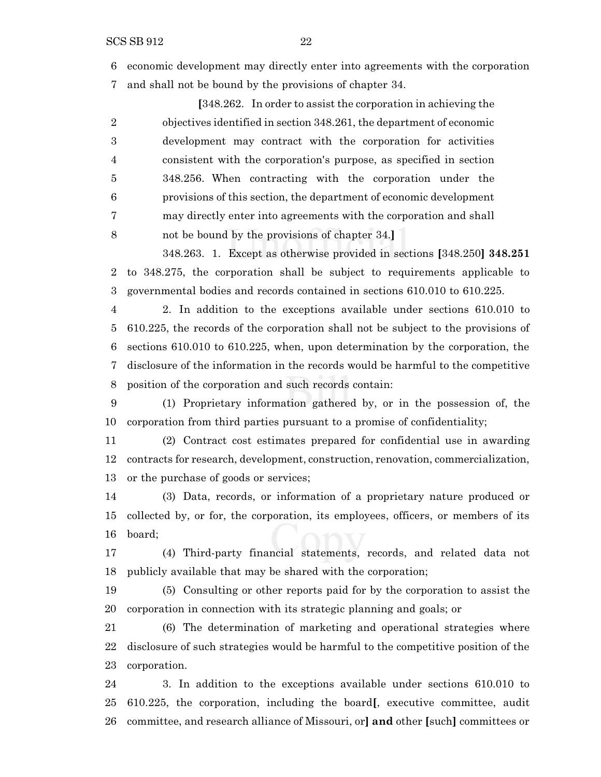economic development may directly enter into agreements with the corporation and shall not be bound by the provisions of chapter 34.

**[**348.262. In order to assist the corporation in achieving the objectives identified in section 348.261, the department of economic development may contract with the corporation for activities consistent with the corporation's purpose, as specified in section 348.256. When contracting with the corporation under the provisions of this section, the department of economic development may directly enter into agreements with the corporation and shall

not be bound by the provisions of chapter 34.**]**

348.263. 1. Except as otherwise provided in sections **[**348.250**] 348.251** to 348.275, the corporation shall be subject to requirements applicable to governmental bodies and records contained in sections 610.010 to 610.225.

 2. In addition to the exceptions available under sections 610.010 to 610.225, the records of the corporation shall not be subject to the provisions of sections 610.010 to 610.225, when, upon determination by the corporation, the disclosure of the information in the records would be harmful to the competitive position of the corporation and such records contain:

 (1) Proprietary information gathered by, or in the possession of, the corporation from third parties pursuant to a promise of confidentiality;

 (2) Contract cost estimates prepared for confidential use in awarding contracts for research, development, construction, renovation, commercialization, or the purchase of goods or services;

 (3) Data, records, or information of a proprietary nature produced or collected by, or for, the corporation, its employees, officers, or members of its board;

 (4) Third-party financial statements, records, and related data not publicly available that may be shared with the corporation;

 (5) Consulting or other reports paid for by the corporation to assist the corporation in connection with its strategic planning and goals; or

 (6) The determination of marketing and operational strategies where disclosure of such strategies would be harmful to the competitive position of the corporation.

 3. In addition to the exceptions available under sections 610.010 to 610.225, the corporation, including the board**[**, executive committee, audit committee, and research alliance of Missouri, or**] and** other **[**such**]** committees or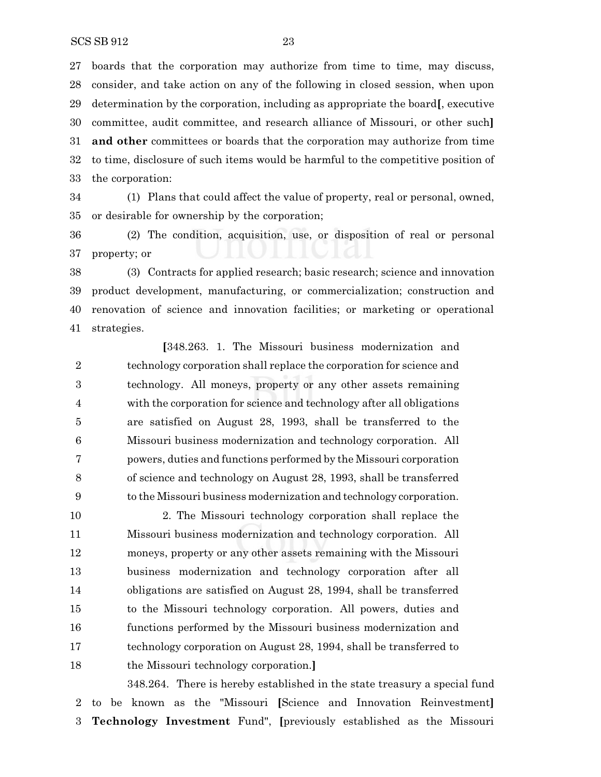boards that the corporation may authorize from time to time, may discuss, consider, and take action on any of the following in closed session, when upon determination by the corporation, including as appropriate the board**[**, executive committee, audit committee, and research alliance of Missouri, or other such**] and other** committees or boards that the corporation may authorize from time to time, disclosure of such items would be harmful to the competitive position of the corporation:

 (1) Plans that could affect the value of property, real or personal, owned, or desirable for ownership by the corporation;

 (2) The condition, acquisition, use, or disposition of real or personal property; or

 (3) Contracts for applied research; basic research; science and innovation product development, manufacturing, or commercialization; construction and renovation of science and innovation facilities; or marketing or operational strategies.

**[**348.263. 1. The Missouri business modernization and technology corporation shall replace the corporation for science and technology. All moneys, property or any other assets remaining with the corporation for science and technology after all obligations are satisfied on August 28, 1993, shall be transferred to the Missouri business modernization and technology corporation. All powers, duties and functions performed by the Missouri corporation of science and technology on August 28, 1993, shall be transferred to the Missouri business modernization and technology corporation.

 2. The Missouri technology corporation shall replace the Missouri business modernization and technology corporation. All moneys, property or any other assets remaining with the Missouri business modernization and technology corporation after all obligations are satisfied on August 28, 1994, shall be transferred to the Missouri technology corporation. All powers, duties and functions performed by the Missouri business modernization and technology corporation on August 28, 1994, shall be transferred to the Missouri technology corporation.**]**

348.264. There is hereby established in the state treasury a special fund to be known as the "Missouri **[**Science and Innovation Reinvestment**] Technology Investment** Fund", **[**previously established as the Missouri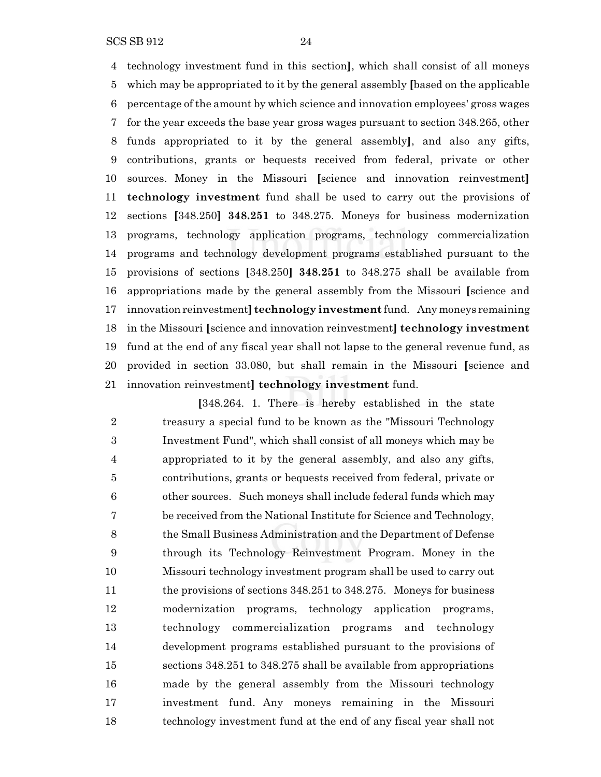SCS SB 912 24

 technology investment fund in this section**]**, which shall consist of all moneys which may be appropriated to it by the general assembly **[**based on the applicable percentage of the amount by which science and innovation employees' gross wages for the year exceeds the base year gross wages pursuant to section 348.265, other funds appropriated to it by the general assembly**]**, and also any gifts, contributions, grants or bequests received from federal, private or other sources. Money in the Missouri **[**science and innovation reinvestment**] technology investment** fund shall be used to carry out the provisions of sections **[**348.250**] 348.251** to 348.275. Moneys for business modernization programs, technology application programs, technology commercialization programs and technology development programs established pursuant to the provisions of sections **[**348.250**] 348.251** to 348.275 shall be available from appropriations made by the general assembly from the Missouri **[**science and innovation reinvestment**] technology investment** fund. Any moneys remaining in the Missouri **[**science and innovation reinvestment**] technology investment** fund at the end of any fiscal year shall not lapse to the general revenue fund, as provided in section 33.080, but shall remain in the Missouri **[**science and innovation reinvestment**] technology investment** fund.

**[**348.264. 1. There is hereby established in the state treasury a special fund to be known as the "Missouri Technology Investment Fund", which shall consist of all moneys which may be appropriated to it by the general assembly, and also any gifts, contributions, grants or bequests received from federal, private or other sources. Such moneys shall include federal funds which may be received from the National Institute for Science and Technology, the Small Business Administration and the Department of Defense through its Technology Reinvestment Program. Money in the Missouri technology investment program shall be used to carry out the provisions of sections 348.251 to 348.275. Moneys for business modernization programs, technology application programs, technology commercialization programs and technology development programs established pursuant to the provisions of sections 348.251 to 348.275 shall be available from appropriations made by the general assembly from the Missouri technology investment fund. Any moneys remaining in the Missouri technology investment fund at the end of any fiscal year shall not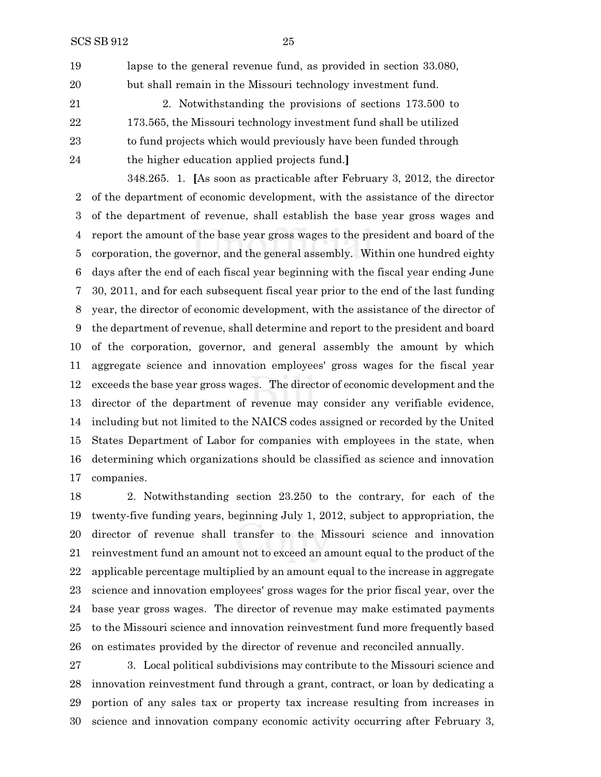lapse to the general revenue fund, as provided in section 33.080, but shall remain in the Missouri technology investment fund.

 2. Notwithstanding the provisions of sections 173.500 to 173.565, the Missouri technology investment fund shall be utilized to fund projects which would previously have been funded through the higher education applied projects fund.**]**

348.265. 1. **[**As soon as practicable after February 3, 2012, the director of the department of economic development, with the assistance of the director of the department of revenue, shall establish the base year gross wages and report the amount of the base year gross wages to the president and board of the corporation, the governor, and the general assembly. Within one hundred eighty days after the end of each fiscal year beginning with the fiscal year ending June 30, 2011, and for each subsequent fiscal year prior to the end of the last funding year, the director of economic development, with the assistance of the director of the department of revenue, shall determine and report to the president and board of the corporation, governor, and general assembly the amount by which aggregate science and innovation employees' gross wages for the fiscal year exceeds the base year gross wages. The director of economic development and the director of the department of revenue may consider any verifiable evidence, including but not limited to the NAICS codes assigned or recorded by the United States Department of Labor for companies with employees in the state, when determining which organizations should be classified as science and innovation companies.

 2. Notwithstanding section 23.250 to the contrary, for each of the twenty-five funding years, beginning July 1, 2012, subject to appropriation, the director of revenue shall transfer to the Missouri science and innovation reinvestment fund an amount not to exceed an amount equal to the product of the applicable percentage multiplied by an amount equal to the increase in aggregate science and innovation employees' gross wages for the prior fiscal year, over the base year gross wages. The director of revenue may make estimated payments to the Missouri science and innovation reinvestment fund more frequently based on estimates provided by the director of revenue and reconciled annually.

 3. Local political subdivisions may contribute to the Missouri science and innovation reinvestment fund through a grant, contract, or loan by dedicating a portion of any sales tax or property tax increase resulting from increases in science and innovation company economic activity occurring after February 3,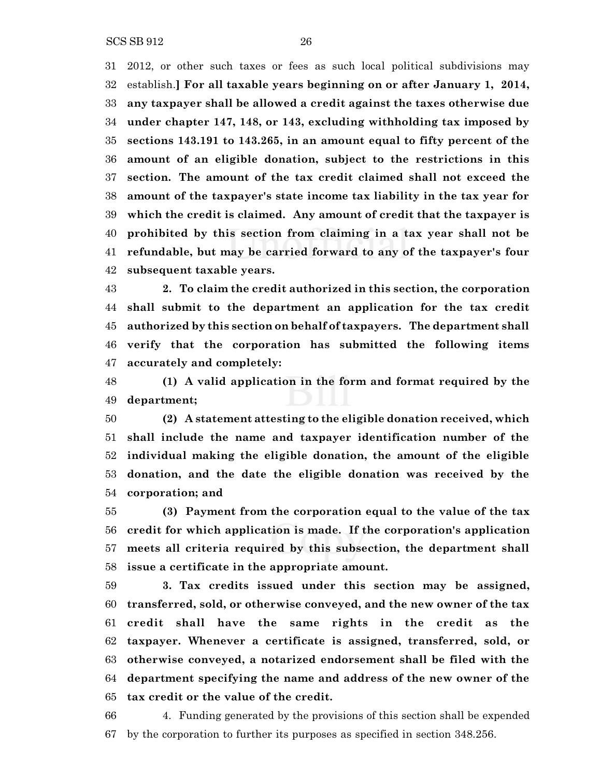SCS SB 912 26

 2012, or other such taxes or fees as such local political subdivisions may establish.**] For all taxable years beginning on or after January 1, 2014, any taxpayer shall be allowed a credit against the taxes otherwise due under chapter 147, 148, or 143, excluding withholding tax imposed by sections 143.191 to 143.265, in an amount equal to fifty percent of the amount of an eligible donation, subject to the restrictions in this section. The amount of the tax credit claimed shall not exceed the amount of the taxpayer's state income tax liability in the tax year for which the credit is claimed. Any amount of credit that the taxpayer is prohibited by this section from claiming in a tax year shall not be**

 **subsequent taxable years. 2. To claim the credit authorized in this section, the corporation shall submit to the department an application for the tax credit authorized by this section on behalf of taxpayers. The department shall verify that the corporation has submitted the following items**

**refundable, but may be carried forward to any of the taxpayer's four**

**accurately and completely:**

 **(1) A valid application in the form and format required by the department;**

 **(2) A statement attesting to the eligible donation received, which shall include the name and taxpayer identification number of the individual making the eligible donation, the amount of the eligible donation, and the date the eligible donation was received by the corporation; and**

 **(3) Payment from the corporation equal to the value of the tax credit for which application is made. If the corporation's application meets all criteria required by this subsection, the department shall issue a certificate in the appropriate amount.**

 **3. Tax credits issued under this section may be assigned, transferred, sold, or otherwise conveyed, and the new owner of the tax credit shall have the same rights in the credit as the taxpayer. Whenever a certificate is assigned, transferred, sold, or otherwise conveyed, a notarized endorsement shall be filed with the department specifying the name and address of the new owner of the tax credit or the value of the credit.**

 4. Funding generated by the provisions of this section shall be expended by the corporation to further its purposes as specified in section 348.256.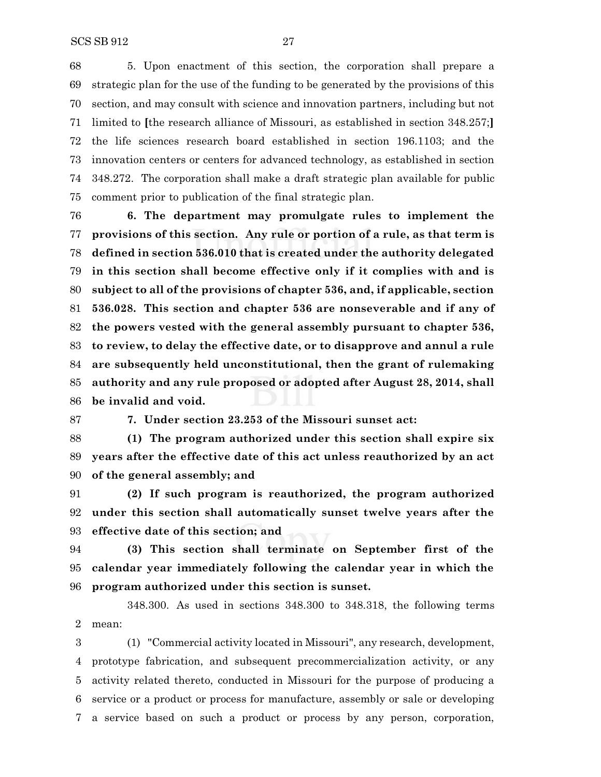5. Upon enactment of this section, the corporation shall prepare a strategic plan for the use of the funding to be generated by the provisions of this section, and may consult with science and innovation partners, including but not limited to **[**the research alliance of Missouri, as established in section 348.257;**]** the life sciences research board established in section 196.1103; and the innovation centers or centers for advanced technology, as established in section 348.272. The corporation shall make a draft strategic plan available for public comment prior to publication of the final strategic plan.

 **6. The department may promulgate rules to implement the provisions of this section. Any rule or portion of a rule, as that term is defined in section 536.010 that is created under the authority delegated in this section shall become effective only if it complies with and is subject to all of the provisions of chapter 536, and, if applicable, section 536.028. This section and chapter 536 are nonseverable and if any of the powers vested with the general assembly pursuant to chapter 536, to review, to delay the effective date, or to disapprove and annul a rule are subsequently held unconstitutional, then the grant of rulemaking authority and any rule proposed or adopted after August 28, 2014, shall be invalid and void.**

**7. Under section 23.253 of the Missouri sunset act:**

 **(1) The program authorized under this section shall expire six years after the effective date of this act unless reauthorized by an act of the general assembly; and**

 **(2) If such program is reauthorized, the program authorized under this section shall automatically sunset twelve years after the effective date of this section; and**

 **(3) This section shall terminate on September first of the calendar year immediately following the calendar year in which the program authorized under this section is sunset.**

348.300. As used in sections 348.300 to 348.318, the following terms mean:

 (1) "Commercial activity located in Missouri", any research, development, prototype fabrication, and subsequent precommercialization activity, or any activity related thereto, conducted in Missouri for the purpose of producing a service or a product or process for manufacture, assembly or sale or developing a service based on such a product or process by any person, corporation,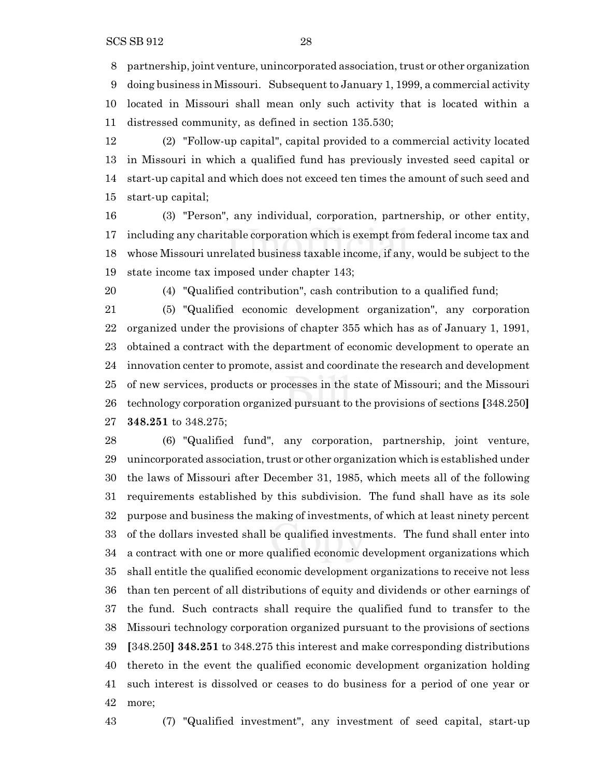8 partnership, joint venture, unincorporated association, trust or other organization

 doing business in Missouri. Subsequent to January 1, 1999, a commercial activity located in Missouri shall mean only such activity that is located within a distressed community, as defined in section 135.530;

 (2) "Follow-up capital", capital provided to a commercial activity located in Missouri in which a qualified fund has previously invested seed capital or start-up capital and which does not exceed ten times the amount of such seed and start-up capital;

 (3) "Person", any individual, corporation, partnership, or other entity, including any charitable corporation which is exempt from federal income tax and whose Missouri unrelated business taxable income, if any, would be subject to the state income tax imposed under chapter 143;

(4) "Qualified contribution", cash contribution to a qualified fund;

 (5) "Qualified economic development organization", any corporation organized under the provisions of chapter 355 which has as of January 1, 1991, obtained a contract with the department of economic development to operate an innovation center to promote, assist and coordinate the research and development of new services, products or processes in the state of Missouri; and the Missouri technology corporation organized pursuant to the provisions of sections **[**348.250**] 348.251** to 348.275;

 (6) "Qualified fund", any corporation, partnership, joint venture, 29 unincorporated association, trust or other organization which is established under the laws of Missouri after December 31, 1985, which meets all of the following requirements established by this subdivision. The fund shall have as its sole purpose and business the making of investments, of which at least ninety percent of the dollars invested shall be qualified investments. The fund shall enter into a contract with one or more qualified economic development organizations which shall entitle the qualified economic development organizations to receive not less than ten percent of all distributions of equity and dividends or other earnings of the fund. Such contracts shall require the qualified fund to transfer to the Missouri technology corporation organized pursuant to the provisions of sections **[**348.250**] 348.251** to 348.275 this interest and make corresponding distributions thereto in the event the qualified economic development organization holding such interest is dissolved or ceases to do business for a period of one year or more;

(7) "Qualified investment", any investment of seed capital, start-up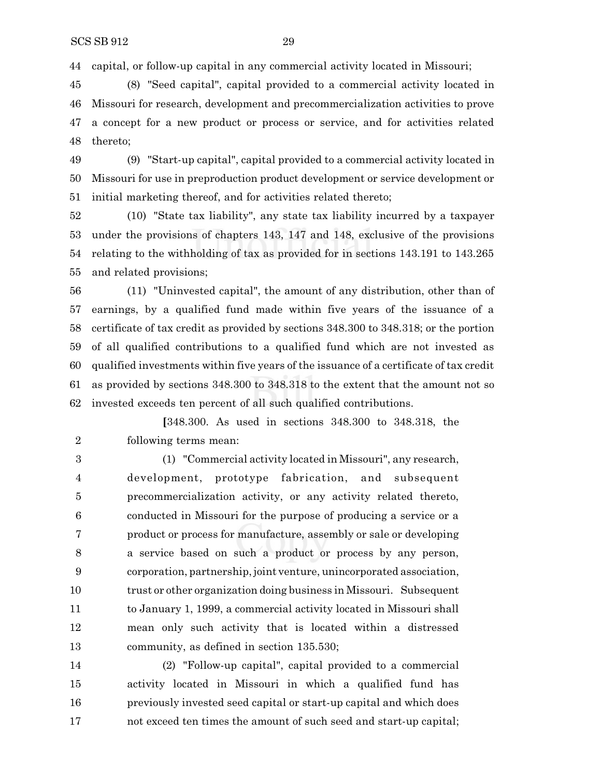capital, or follow-up capital in any commercial activity located in Missouri;

 (8) "Seed capital", capital provided to a commercial activity located in Missouri for research, development and precommercialization activities to prove a concept for a new product or process or service, and for activities related thereto;

 (9) "Start-up capital", capital provided to a commercial activity located in Missouri for use in preproduction product development or service development or initial marketing thereof, and for activities related thereto;

 (10) "State tax liability", any state tax liability incurred by a taxpayer under the provisions of chapters 143, 147 and 148, exclusive of the provisions relating to the withholding of tax as provided for in sections 143.191 to 143.265 and related provisions;

 (11) "Uninvested capital", the amount of any distribution, other than of earnings, by a qualified fund made within five years of the issuance of a certificate of tax credit as provided by sections 348.300 to 348.318; or the portion of all qualified contributions to a qualified fund which are not invested as qualified investments within five years of the issuance of a certificate of tax credit as provided by sections 348.300 to 348.318 to the extent that the amount not so invested exceeds ten percent of all such qualified contributions.

**[**348.300. As used in sections 348.300 to 348.318, the following terms mean:

 (1) "Commercial activity located in Missouri", any research, development, prototype fabrication, and subsequent precommercialization activity, or any activity related thereto, conducted in Missouri for the purpose of producing a service or a product or process for manufacture, assembly or sale or developing a service based on such a product or process by any person, corporation, partnership, joint venture, unincorporated association, trust or other organization doing business in Missouri. Subsequent to January 1, 1999, a commercial activity located in Missouri shall mean only such activity that is located within a distressed community, as defined in section 135.530;

 (2) "Follow-up capital", capital provided to a commercial activity located in Missouri in which a qualified fund has previously invested seed capital or start-up capital and which does not exceed ten times the amount of such seed and start-up capital;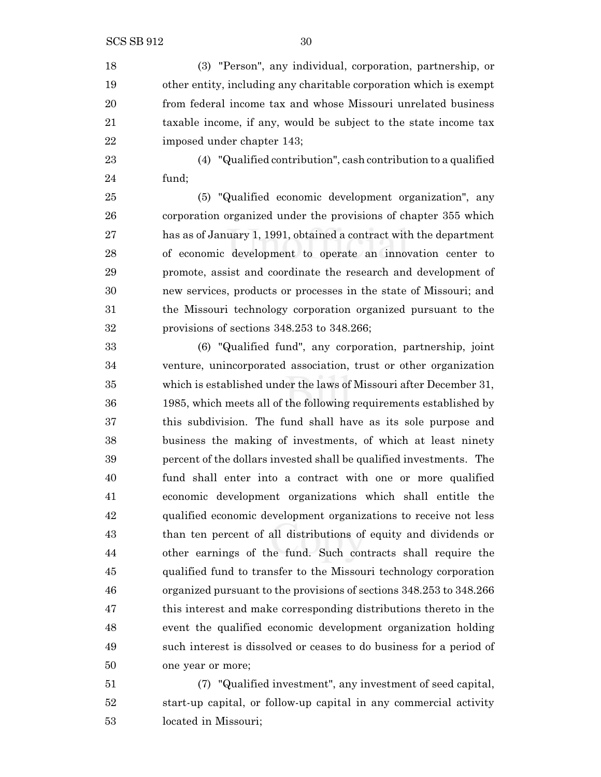(3) "Person", any individual, corporation, partnership, or other entity, including any charitable corporation which is exempt from federal income tax and whose Missouri unrelated business taxable income, if any, would be subject to the state income tax imposed under chapter 143;

 (4) "Qualified contribution", cash contribution to a qualified fund;

 (5) "Qualified economic development organization", any corporation organized under the provisions of chapter 355 which has as of January 1, 1991, obtained a contract with the department of economic development to operate an innovation center to promote, assist and coordinate the research and development of new services, products or processes in the state of Missouri; and the Missouri technology corporation organized pursuant to the provisions of sections 348.253 to 348.266;

 (6) "Qualified fund", any corporation, partnership, joint venture, unincorporated association, trust or other organization which is established under the laws of Missouri after December 31, 1985, which meets all of the following requirements established by this subdivision. The fund shall have as its sole purpose and business the making of investments, of which at least ninety percent of the dollars invested shall be qualified investments. The fund shall enter into a contract with one or more qualified economic development organizations which shall entitle the qualified economic development organizations to receive not less than ten percent of all distributions of equity and dividends or other earnings of the fund. Such contracts shall require the qualified fund to transfer to the Missouri technology corporation organized pursuant to the provisions of sections 348.253 to 348.266 this interest and make corresponding distributions thereto in the event the qualified economic development organization holding such interest is dissolved or ceases to do business for a period of one year or more;

 (7) "Qualified investment", any investment of seed capital, start-up capital, or follow-up capital in any commercial activity located in Missouri;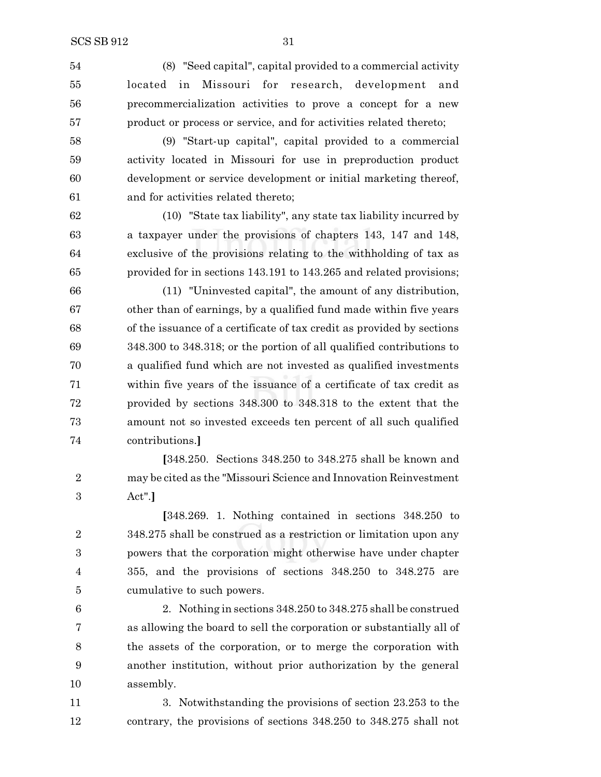(8) "Seed capital", capital provided to a commercial activity located in Missouri for research, development and precommercialization activities to prove a concept for a new product or process or service, and for activities related thereto;

 (9) "Start-up capital", capital provided to a commercial activity located in Missouri for use in preproduction product development or service development or initial marketing thereof, and for activities related thereto;

 (10) "State tax liability", any state tax liability incurred by a taxpayer under the provisions of chapters 143, 147 and 148, exclusive of the provisions relating to the withholding of tax as provided for in sections 143.191 to 143.265 and related provisions;

 (11) "Uninvested capital", the amount of any distribution, other than of earnings, by a qualified fund made within five years of the issuance of a certificate of tax credit as provided by sections 348.300 to 348.318; or the portion of all qualified contributions to a qualified fund which are not invested as qualified investments within five years of the issuance of a certificate of tax credit as provided by sections 348.300 to 348.318 to the extent that the amount not so invested exceeds ten percent of all such qualified contributions.**]**

**[**348.250. Sections 348.250 to 348.275 shall be known and may be cited as the "Missouri Science and Innovation Reinvestment Act".**]**

**[**348.269. 1. Nothing contained in sections 348.250 to 348.275 shall be construed as a restriction or limitation upon any powers that the corporation might otherwise have under chapter 355, and the provisions of sections 348.250 to 348.275 are cumulative to such powers.

 2. Nothing in sections 348.250 to 348.275 shall be construed as allowing the board to sell the corporation or substantially all of the assets of the corporation, or to merge the corporation with another institution, without prior authorization by the general assembly.

 3. Notwithstanding the provisions of section 23.253 to the contrary, the provisions of sections 348.250 to 348.275 shall not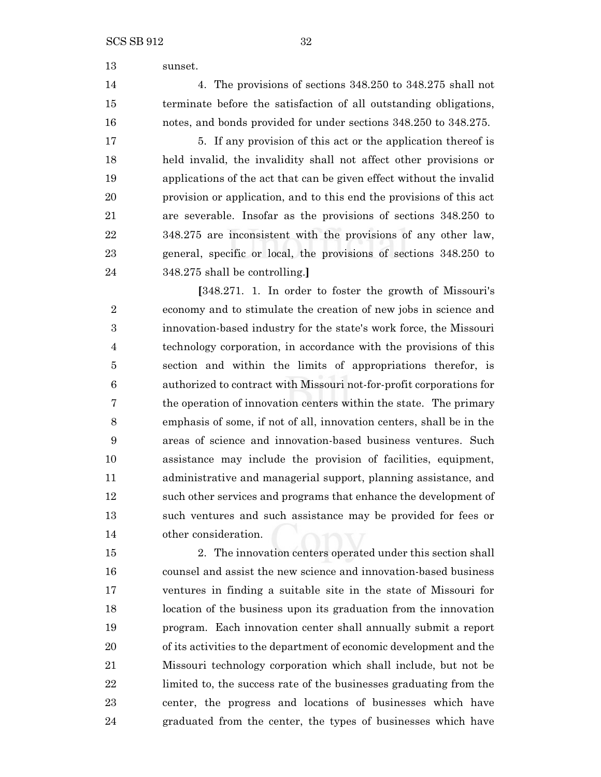sunset.

 4. The provisions of sections 348.250 to 348.275 shall not terminate before the satisfaction of all outstanding obligations, notes, and bonds provided for under sections 348.250 to 348.275.

17 5. If any provision of this act or the application thereof is held invalid, the invalidity shall not affect other provisions or applications of the act that can be given effect without the invalid provision or application, and to this end the provisions of this act are severable. Insofar as the provisions of sections 348.250 to 348.275 are inconsistent with the provisions of any other law, general, specific or local, the provisions of sections 348.250 to 348.275 shall be controlling.**]**

**[**348.271. 1. In order to foster the growth of Missouri's economy and to stimulate the creation of new jobs in science and innovation-based industry for the state's work force, the Missouri technology corporation, in accordance with the provisions of this section and within the limits of appropriations therefor, is authorized to contract with Missouri not-for-profit corporations for the operation of innovation centers within the state. The primary emphasis of some, if not of all, innovation centers, shall be in the areas of science and innovation-based business ventures. Such assistance may include the provision of facilities, equipment, administrative and managerial support, planning assistance, and such other services and programs that enhance the development of such ventures and such assistance may be provided for fees or other consideration.

 2. The innovation centers operated under this section shall counsel and assist the new science and innovation-based business ventures in finding a suitable site in the state of Missouri for location of the business upon its graduation from the innovation program. Each innovation center shall annually submit a report of its activities to the department of economic development and the Missouri technology corporation which shall include, but not be limited to, the success rate of the businesses graduating from the center, the progress and locations of businesses which have graduated from the center, the types of businesses which have